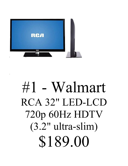

#### #1 - Walmart RCA 32" LED-LCD 720p 60Hz HDTV (3.2" ultra-slim) \$189.00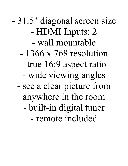- 31.5" diagonal screen size - HDMI Inputs: 2 - wall mountable - 1366 x 768 resolution - true 16:9 aspect ratio - wide viewing angles - see a clear picture from anywhere in the room - built-in digital tuner - remote included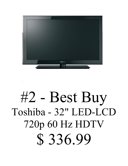

## #2 - Best Buy Toshiba - 32" LED-LCD 720p 60 Hz HDTV \$ 336.99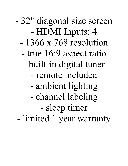- 32" diagonal size screen - HDMI Inputs: 4 - 1366 x 768 resolution - true 16:9 aspect ratio - built-in digital tuner - remote included - ambient lighting - channel labeling - sleep timer - limited 1 year warranty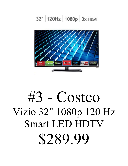#### 32" 120Hz 1080p 3x HDMI



## #3 - Costco Vizio 32" 1080p 120 Hz Smart LED HDTV \$289.99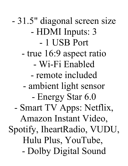- 31.5" diagonal screen size - HDMI Inputs: 3 - 1 USB Port - true 16:9 aspect ratio - Wi-Fi Enabled - remote included - ambient light sensor - Energy Star 6.0 - Smart TV Apps: Netflix, Amazon Instant Video, Spotify, IheartRadio, VUDU, Hulu Plus, YouTube, - Dolby Digital Sound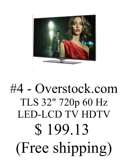

# #4 - Overstock.com TLS 32" 720p 60 Hz LED-LCD TV HDTV \$ 199.13 (Free shipping)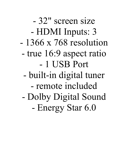- 32" screen size - HDMI Inputs: 3 - 1366 x 768 resolution - true 16:9 aspect ratio - 1 USB Port - built-in digital tuner - remote included - Dolby Digital Sound - Energy Star 6.0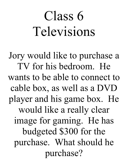# Class 6 Televisions

Jory would like to purchase a TV for his bedroom. He wants to be able to connect to cable box, as well as a DVD player and his game box. He would like a really clear image for gaming. He has budgeted \$300 for the purchase. What should he purchase?